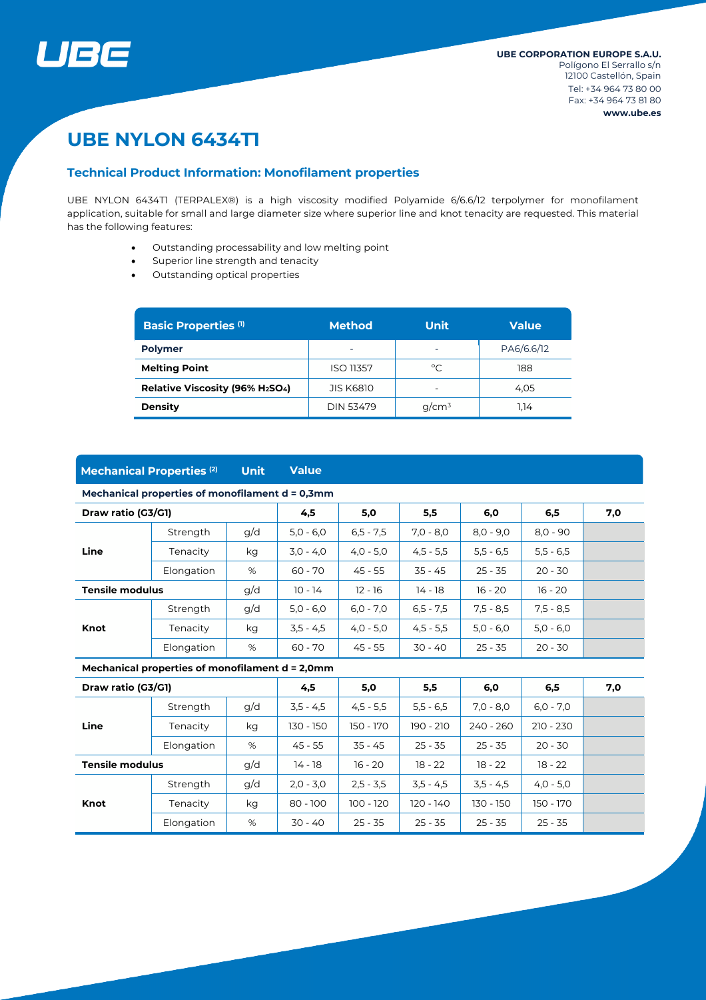

# **UBE NYLON 6434T1**

#### **Technical Product Information: Monofilament properties**

UBE NYLON 6434TI (TERPALEX®) is a high viscosity modified Polyamide 6/6.6/12 terpolymer for monofilament application, suitable for small and large diameter size where superior line and knot tenacity are requested. This material has the following features:

- Outstanding processability and low melting point
- Superior line strength and tenacity
- Outstanding optical properties

| <b>Basic Properties (1)</b>                              | <b>Method</b>            | <b>Unit</b> | <b>Value</b> |  |
|----------------------------------------------------------|--------------------------|-------------|--------------|--|
| <b>Polymer</b>                                           | $\overline{\phantom{0}}$ |             | PA6/6.6/12   |  |
| <b>Melting Point</b>                                     | <b>ISO 11357</b>         | °C          | 188          |  |
| Relative Viscosity (96% H <sub>2</sub> SO <sub>4</sub> ) | <b>JIS K6810</b>         |             | 4.05         |  |
| <b>Density</b>                                           | <b>DIN 53479</b>         | $q/cm^3$    | 1.14         |  |

# **Mechanical Properties (2) Unit Value**

#### **Mechanical properties of monofilament d = 0,3mm**

| Draw ratio (G3/G1)            |            | 4,5 | 5,0         | 5,5         | 6,0         | 6,5         | 7,0         |  |
|-------------------------------|------------|-----|-------------|-------------|-------------|-------------|-------------|--|
| Line                          | Strength   | g/d | $5.0 - 6.0$ | $6.5 - 7.5$ | $7.0 - 8.0$ | $8.0 - 9.0$ | $8.0 - 90$  |  |
|                               | Tenacity   | kg  | $3.0 - 4.0$ | $4,0 - 5,0$ | $4,5 - 5,5$ | $5,5 - 6,5$ | $5,5 - 6,5$ |  |
|                               | Elongation | %   | $60 - 70$   | 45 - 55     | $35 - 45$   | $25 - 35$   | $20 - 30$   |  |
| g/d<br><b>Tensile modulus</b> |            |     | $10 - 14$   | $12 - 16$   | 14 - 18     | $16 - 20$   | $16 - 20$   |  |
| Knot                          | Strength   | g/d | $5.0 - 6.0$ | $6,0 - 7,0$ | $6.5 - 7.5$ | $7.5 - 8.5$ | $7.5 - 8.5$ |  |
|                               | Tenacity   | kg  | $3,5 - 4,5$ | $4,0 - 5,0$ | $4,5 - 5,5$ | $5,0 - 6,0$ | $5.0 - 6.0$ |  |
|                               | Elongation | %   | $60 - 70$   | 45 - 55     | $30 - 40$   | $25 - 35$   | $20 - 30$   |  |

#### **Mechanical properties of monofilament d = 2,0mm**

| Draw ratio (G3/G1)     |            |     | 4,5         | 5,0         | 5,5         | 6,0         | 6,5         | 7,0 |
|------------------------|------------|-----|-------------|-------------|-------------|-------------|-------------|-----|
|                        | Strength   | g/d | $3,5 - 4,5$ | $4,5 - 5,5$ | $5,5 - 6,5$ | $7.0 - 8.0$ | $6,0 - 7,0$ |     |
| Line                   | Tenacity   | kg  | 130 - 150   | 150 - 170   | $190 - 210$ | $240 - 260$ | $210 - 230$ |     |
|                        | Elongation | %   | $45 - 55$   | $35 - 45$   | $25 - 35$   | $25 - 35$   | $20 - 30$   |     |
| <b>Tensile modulus</b> |            | g/d | 14 - 18     | $16 - 20$   | $18 - 22$   | $18 - 22$   | $18 - 22$   |     |
|                        | Strength   | g/d | $2,0 - 3,0$ | $2,5 - 3,5$ | $3,5 - 4,5$ | $3,5 - 4,5$ | $4,0 - 5,0$ |     |
| Knot                   | Tenacity   | kg  | $80 - 100$  | $100 - 120$ | $120 - 140$ | 130 - 150   | 150 - 170   |     |
|                        | Elongation | %   | $30 - 40$   | $25 - 35$   | $25 - 35$   | $25 - 35$   | $25 - 35$   |     |